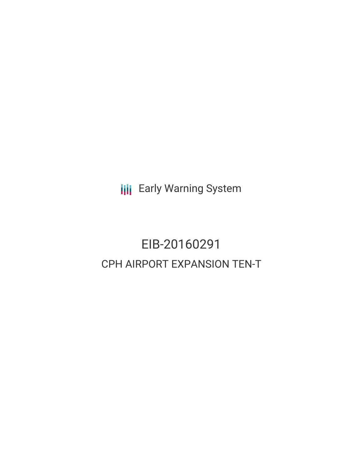**III** Early Warning System

# EIB-20160291 CPH AIRPORT EXPANSION TEN-T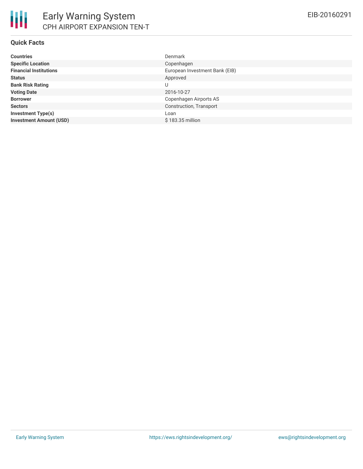#### **Quick Facts**

| <b>Countries</b>               | <b>Denmark</b>                 |
|--------------------------------|--------------------------------|
| <b>Specific Location</b>       | Copenhagen                     |
| <b>Financial Institutions</b>  | European Investment Bank (EIB) |
| <b>Status</b>                  | Approved                       |
| <b>Bank Risk Rating</b>        | U                              |
| <b>Voting Date</b>             | 2016-10-27                     |
| <b>Borrower</b>                | Copenhagen Airports AS         |
| <b>Sectors</b>                 | Construction, Transport        |
| <b>Investment Type(s)</b>      | Loan                           |
| <b>Investment Amount (USD)</b> | \$183.35 million               |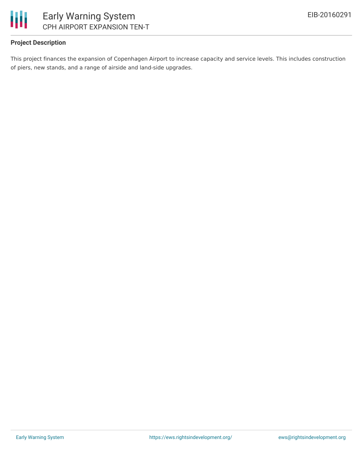

### **Project Description**

This project finances the expansion of Copenhagen Airport to increase capacity and service levels. This includes construction of piers, new stands, and a range of airside and land-side upgrades.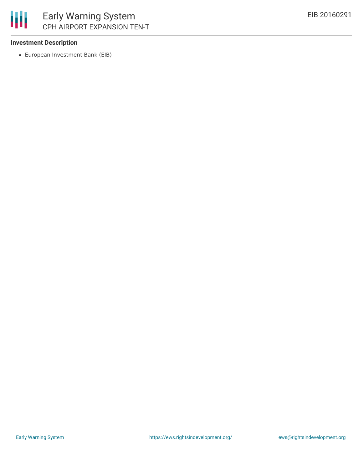

#### **Investment Description**

European Investment Bank (EIB)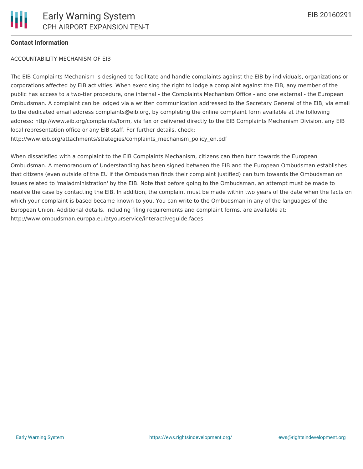#### **Contact Information**

#### ACCOUNTABILITY MECHANISM OF EIB

The EIB Complaints Mechanism is designed to facilitate and handle complaints against the EIB by individuals, organizations or corporations affected by EIB activities. When exercising the right to lodge a complaint against the EIB, any member of the public has access to a two-tier procedure, one internal - the Complaints Mechanism Office - and one external - the European Ombudsman. A complaint can be lodged via a written communication addressed to the Secretary General of the EIB, via email to the dedicated email address complaints@eib.org, by completing the online complaint form available at the following address: http://www.eib.org/complaints/form, via fax or delivered directly to the EIB Complaints Mechanism Division, any EIB local representation office or any EIB staff. For further details, check: http://www.eib.org/attachments/strategies/complaints\_mechanism\_policy\_en.pdf

When dissatisfied with a complaint to the EIB Complaints Mechanism, citizens can then turn towards the European Ombudsman. A memorandum of Understanding has been signed between the EIB and the European Ombudsman establishes that citizens (even outside of the EU if the Ombudsman finds their complaint justified) can turn towards the Ombudsman on issues related to 'maladministration' by the EIB. Note that before going to the Ombudsman, an attempt must be made to resolve the case by contacting the EIB. In addition, the complaint must be made within two years of the date when the facts on which your complaint is based became known to you. You can write to the Ombudsman in any of the languages of the European Union. Additional details, including filing requirements and complaint forms, are available at: http://www.ombudsman.europa.eu/atyourservice/interactiveguide.faces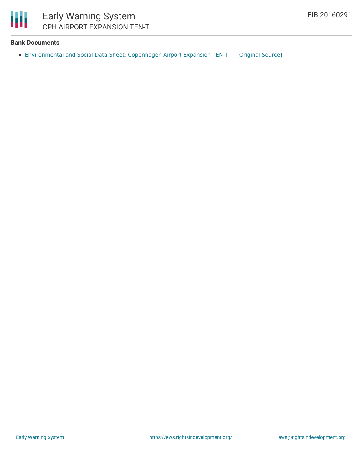Ш

### **Bank Documents**

[Environmental](https://ewsdata.rightsindevelopment.org/files/documents/91/EIB-20160291.pdf) and Social Data Sheet: Copenhagen Airport Expansion TEN-T [\[Original](http://www.eib.org/infocentre/register/all/69558856.pdf) Source]